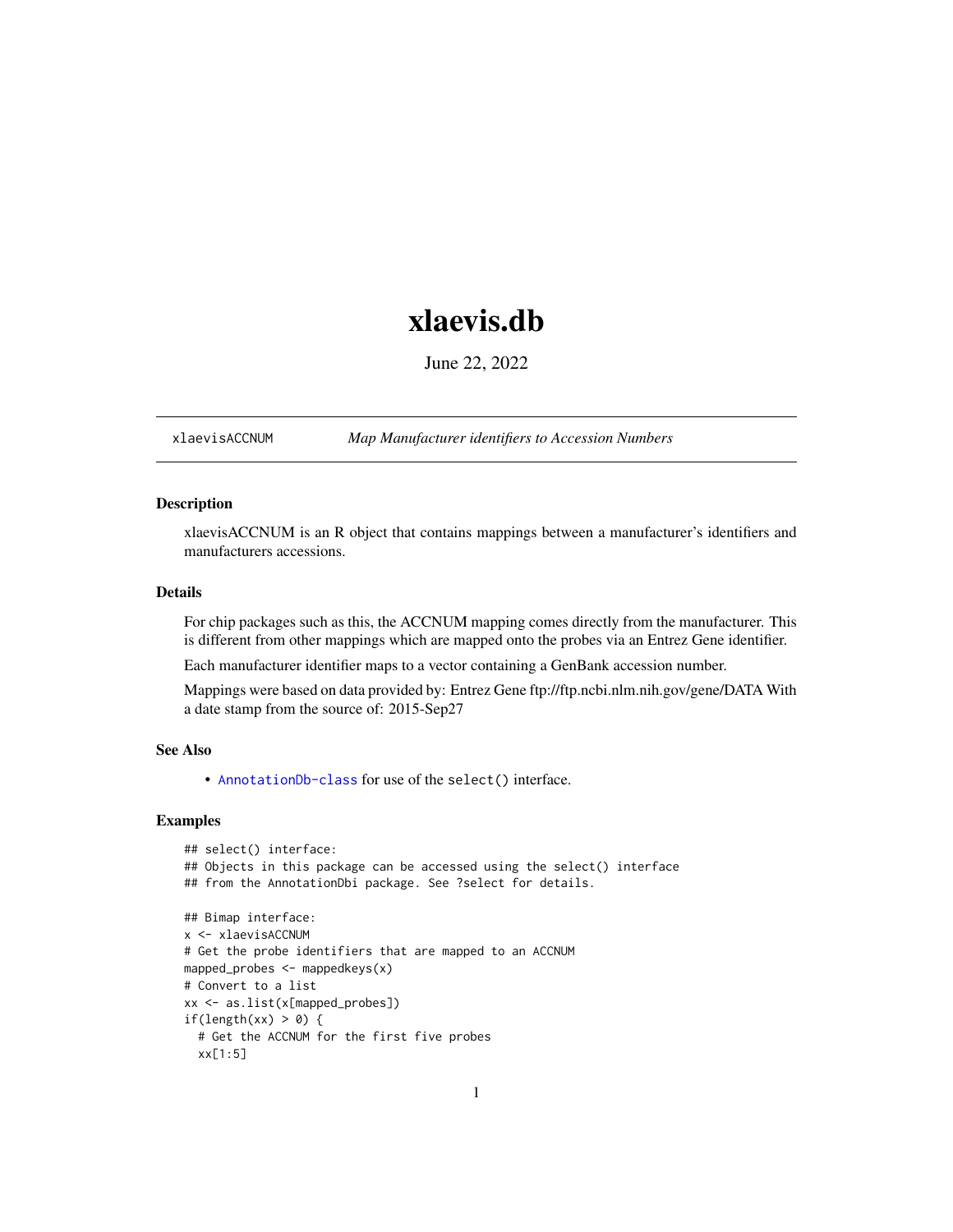# <span id="page-0-1"></span>xlaevis.db

June 22, 2022

<span id="page-0-0"></span>xlaevisACCNUM *Map Manufacturer identifiers to Accession Numbers*

# Description

xlaevisACCNUM is an R object that contains mappings between a manufacturer's identifiers and manufacturers accessions.

# Details

For chip packages such as this, the ACCNUM mapping comes directly from the manufacturer. This is different from other mappings which are mapped onto the probes via an Entrez Gene identifier.

Each manufacturer identifier maps to a vector containing a GenBank accession number.

Mappings were based on data provided by: Entrez Gene ftp://ftp.ncbi.nlm.nih.gov/gene/DATA With a date stamp from the source of: 2015-Sep27

# See Also

• AnnotationDb-class for use of the select() interface.

```
## select() interface:
## Objects in this package can be accessed using the select() interface
## from the AnnotationDbi package. See ?select for details.
## Bimap interface:
x <- xlaevisACCNUM
# Get the probe identifiers that are mapped to an ACCNUM
mapped_probes <- mappedkeys(x)
# Convert to a list
xx <- as.list(x[mapped_probes])
if(length(xx) > 0) {
 # Get the ACCNUM for the first five probes
 xx[1:5]
```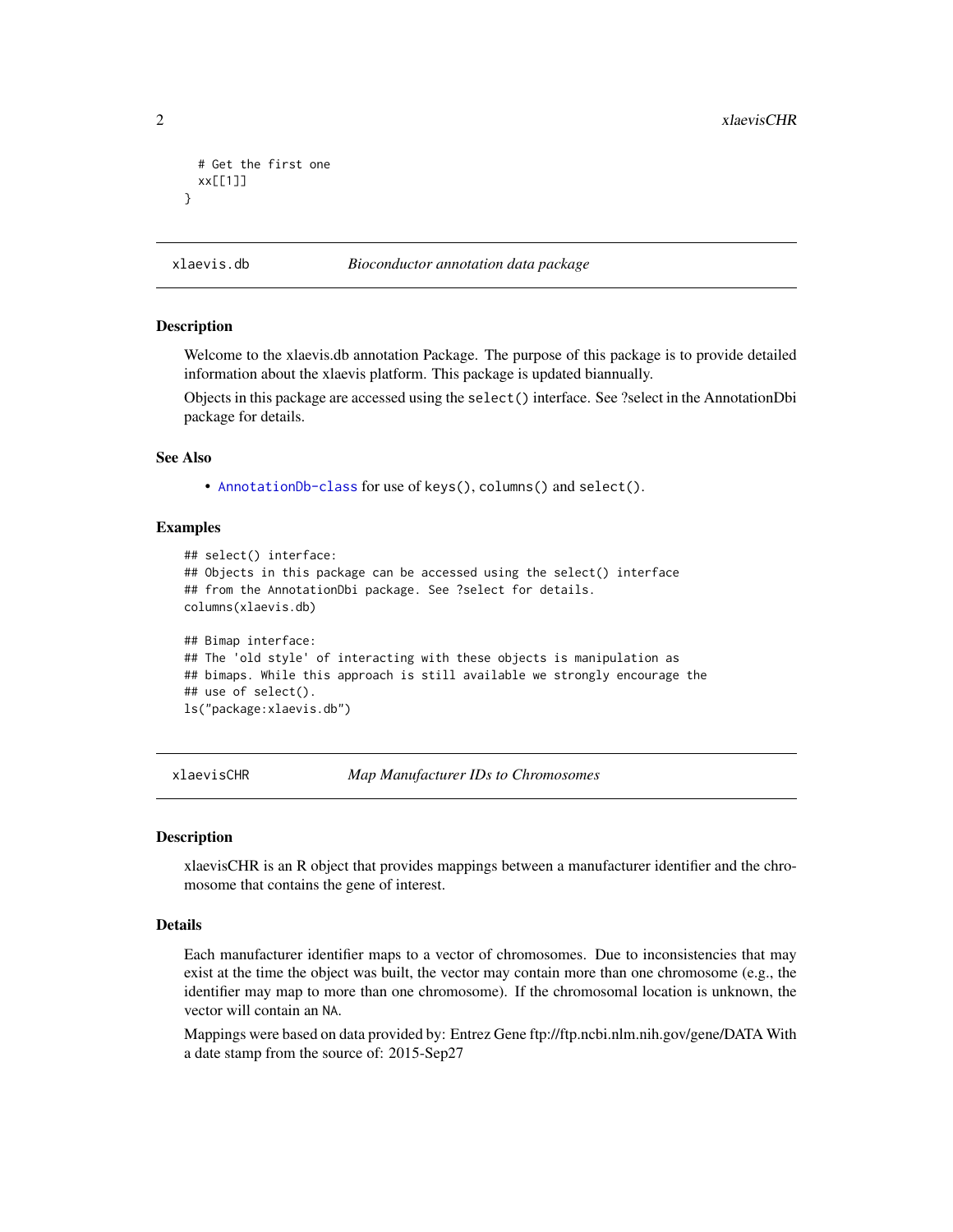```
# Get the first one
 xx[[1]]
}
```
xlaevis.db *Bioconductor annotation data package*

#### Description

Welcome to the xlaevis.db annotation Package. The purpose of this package is to provide detailed information about the xlaevis platform. This package is updated biannually.

Objects in this package are accessed using the select() interface. See ?select in the AnnotationDbi package for details.

#### See Also

• [AnnotationDb-class](#page-0-0) for use of keys(), columns() and select().

#### Examples

```
## select() interface:
## Objects in this package can be accessed using the select() interface
## from the AnnotationDbi package. See ?select for details.
columns(xlaevis.db)
## Bimap interface:
## The 'old style' of interacting with these objects is manipulation as
## bimaps. While this approach is still available we strongly encourage the
## use of select().
ls("package:xlaevis.db")
```
xlaevisCHR *Map Manufacturer IDs to Chromosomes*

#### Description

xlaevisCHR is an R object that provides mappings between a manufacturer identifier and the chromosome that contains the gene of interest.

# Details

Each manufacturer identifier maps to a vector of chromosomes. Due to inconsistencies that may exist at the time the object was built, the vector may contain more than one chromosome (e.g., the identifier may map to more than one chromosome). If the chromosomal location is unknown, the vector will contain an NA.

Mappings were based on data provided by: Entrez Gene ftp://ftp.ncbi.nlm.nih.gov/gene/DATA With a date stamp from the source of: 2015-Sep27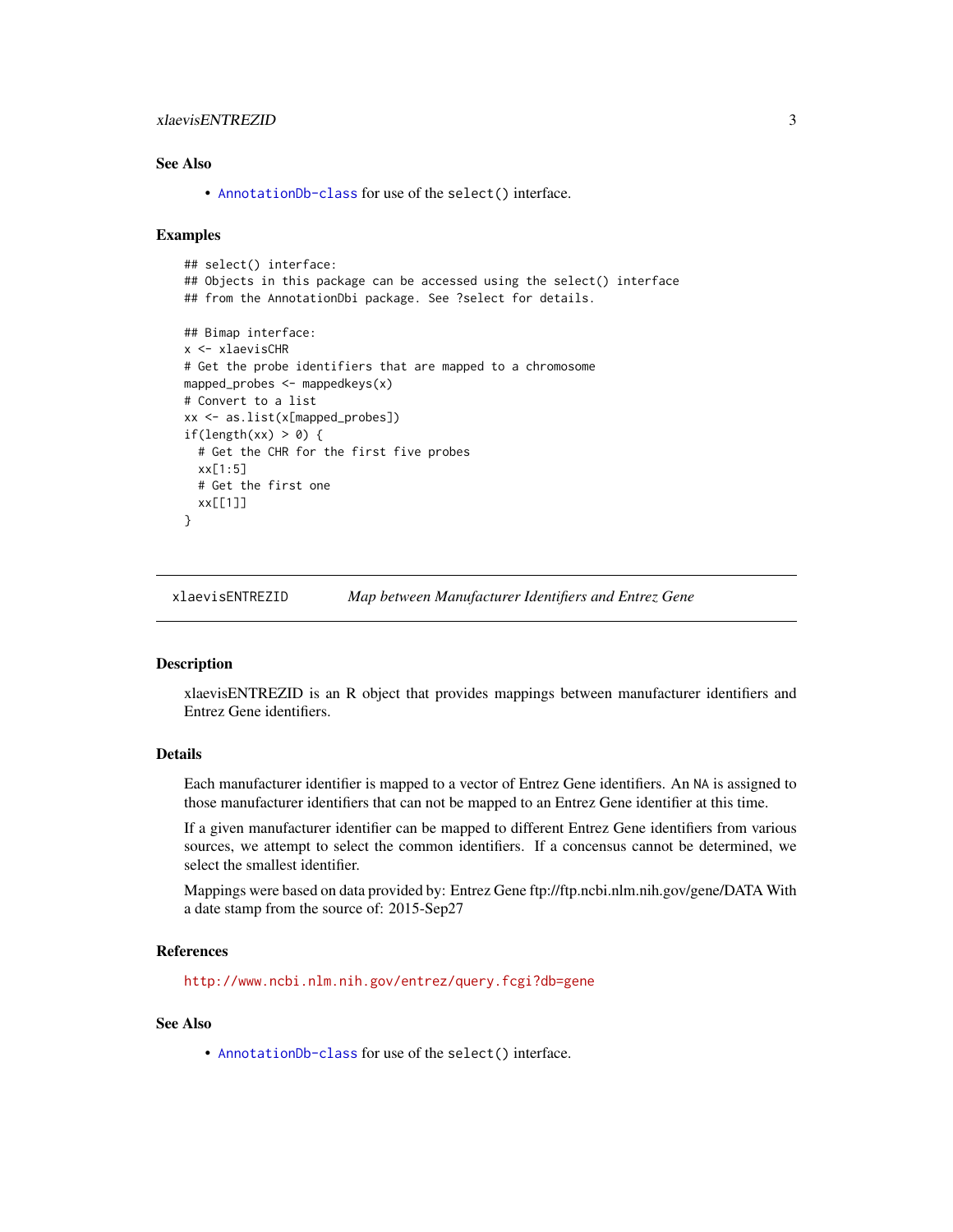# <span id="page-2-0"></span>xlaevisENTREZID 3

# See Also

• [AnnotationDb-class](#page-0-0) for use of the select() interface.

#### Examples

```
## select() interface:
## Objects in this package can be accessed using the select() interface
## from the AnnotationDbi package. See ?select for details.
## Bimap interface:
x <- xlaevisCHR
# Get the probe identifiers that are mapped to a chromosome
mapped_probes <- mappedkeys(x)
# Convert to a list
xx <- as.list(x[mapped_probes])
if(length(xx) > 0) {
 # Get the CHR for the first five probes
 xx[1:5]
 # Get the first one
 xx[[1]]
}
```
xlaevisENTREZID *Map between Manufacturer Identifiers and Entrez Gene*

#### **Description**

xlaevisENTREZID is an R object that provides mappings between manufacturer identifiers and Entrez Gene identifiers.

# Details

Each manufacturer identifier is mapped to a vector of Entrez Gene identifiers. An NA is assigned to those manufacturer identifiers that can not be mapped to an Entrez Gene identifier at this time.

If a given manufacturer identifier can be mapped to different Entrez Gene identifiers from various sources, we attempt to select the common identifiers. If a concensus cannot be determined, we select the smallest identifier.

Mappings were based on data provided by: Entrez Gene ftp://ftp.ncbi.nlm.nih.gov/gene/DATA With a date stamp from the source of: 2015-Sep27

#### References

<http://www.ncbi.nlm.nih.gov/entrez/query.fcgi?db=gene>

#### See Also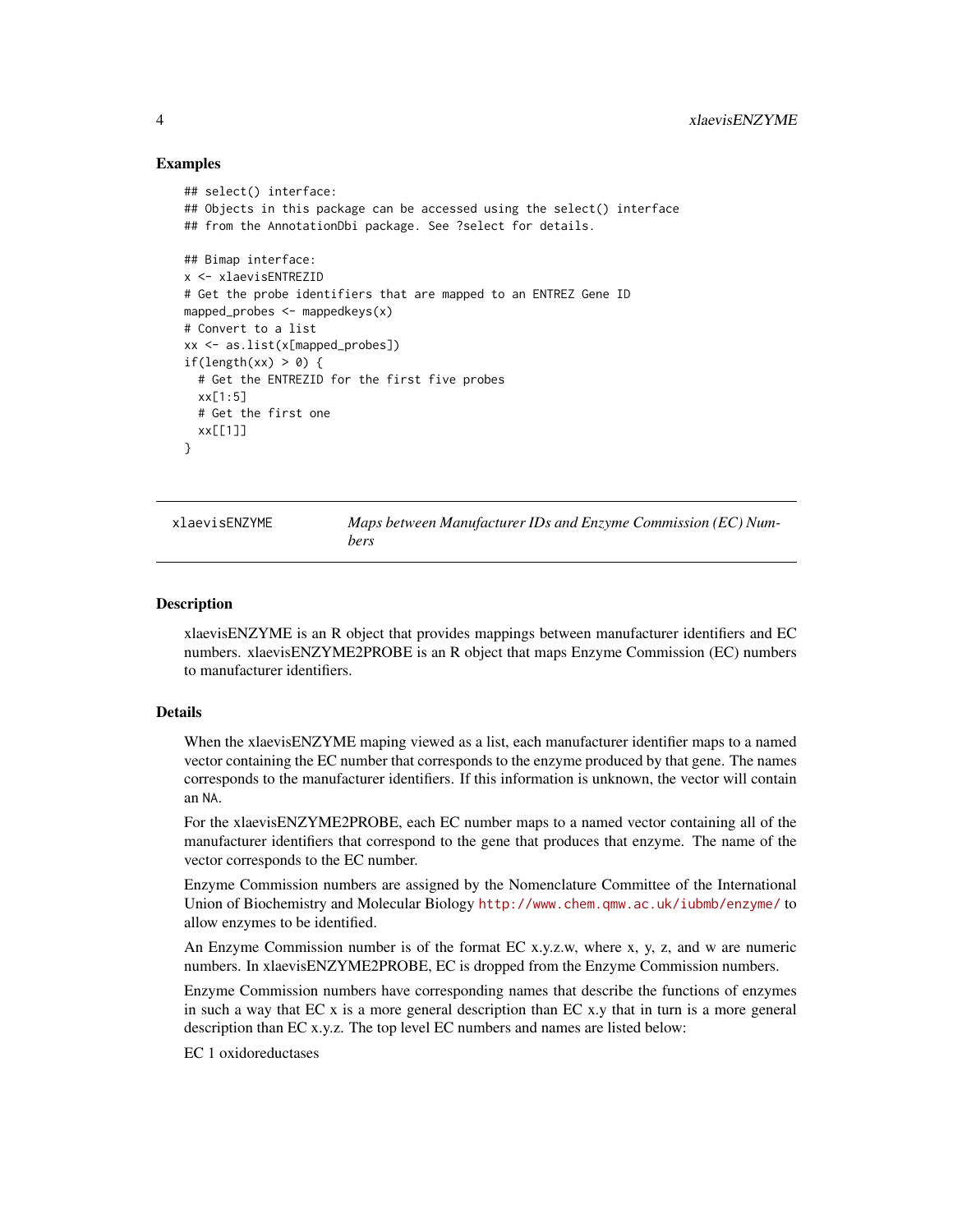#### Examples

```
## select() interface:
## Objects in this package can be accessed using the select() interface
## from the AnnotationDbi package. See ?select for details.
## Bimap interface:
x <- xlaevisENTREZID
# Get the probe identifiers that are mapped to an ENTREZ Gene ID
mapped_probes <- mappedkeys(x)
# Convert to a list
xx <- as.list(x[mapped_probes])
if(length(xx) > 0) {
 # Get the ENTREZID for the first five probes
 xx[1:5]# Get the first one
 xx[[1]]
}
```
xlaevisENZYME *Maps between Manufacturer IDs and Enzyme Commission (EC) Numbers*

#### **Description**

xlaevisENZYME is an R object that provides mappings between manufacturer identifiers and EC numbers. xlaevisENZYME2PROBE is an R object that maps Enzyme Commission (EC) numbers to manufacturer identifiers.

#### Details

When the xlaevisENZYME maping viewed as a list, each manufacturer identifier maps to a named vector containing the EC number that corresponds to the enzyme produced by that gene. The names corresponds to the manufacturer identifiers. If this information is unknown, the vector will contain an NA.

For the xlaevisENZYME2PROBE, each EC number maps to a named vector containing all of the manufacturer identifiers that correspond to the gene that produces that enzyme. The name of the vector corresponds to the EC number.

Enzyme Commission numbers are assigned by the Nomenclature Committee of the International Union of Biochemistry and Molecular Biology <http://www.chem.qmw.ac.uk/iubmb/enzyme/> to allow enzymes to be identified.

An Enzyme Commission number is of the format EC x.y.z.w, where x, y, z, and w are numeric numbers. In xlaevisENZYME2PROBE, EC is dropped from the Enzyme Commission numbers.

Enzyme Commission numbers have corresponding names that describe the functions of enzymes in such a way that EC x is a more general description than EC x.y that in turn is a more general description than EC x.y.z. The top level EC numbers and names are listed below:

EC 1 oxidoreductases

<span id="page-3-0"></span>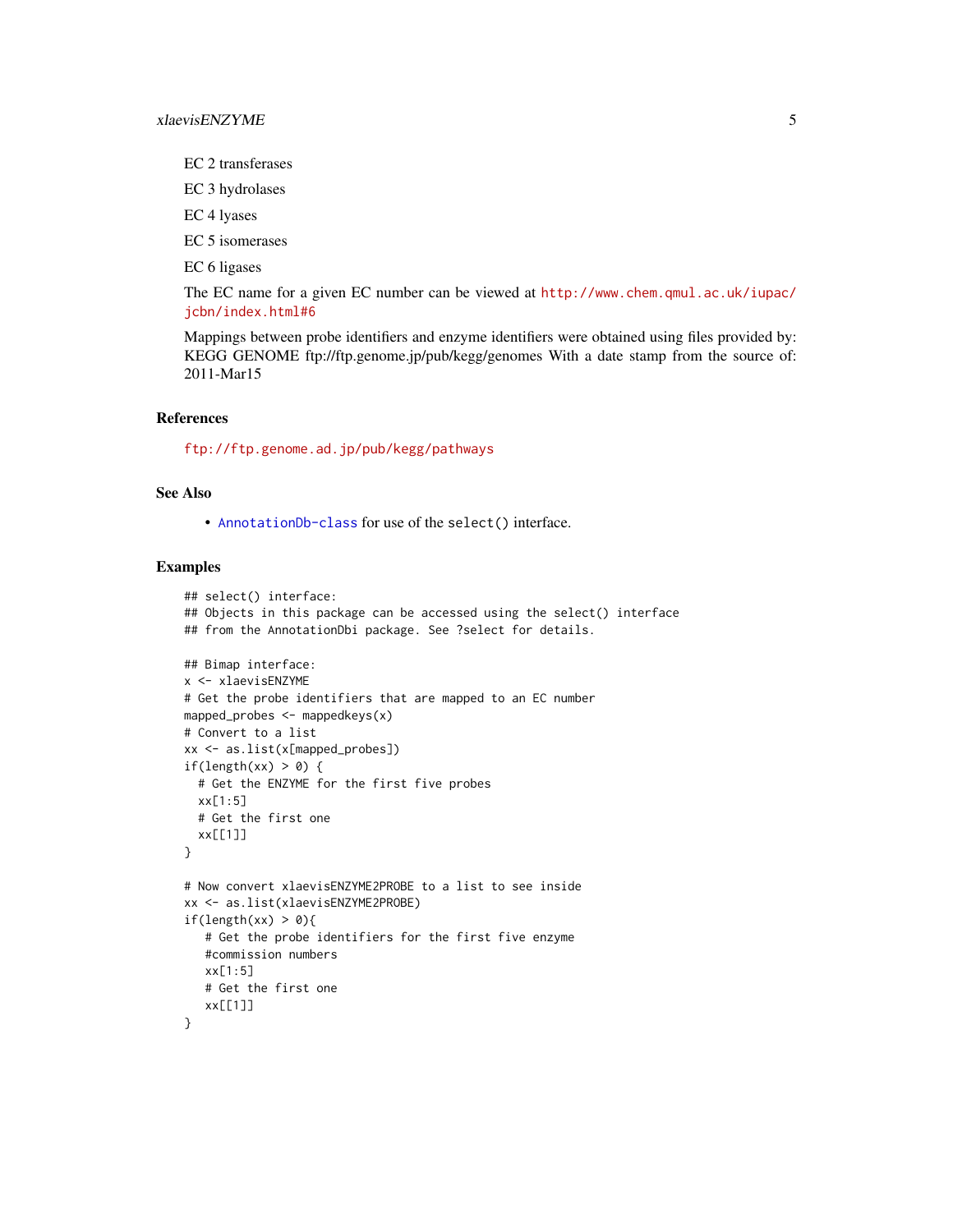EC 2 transferases

EC 3 hydrolases

EC 4 lyases

EC 5 isomerases

EC 6 ligases

The EC name for a given EC number can be viewed at [http://www.chem.qmul.ac.uk/iupac/](http://www.chem.qmul.ac.uk/iupac/jcbn/index.html#6) [jcbn/index.html#6](http://www.chem.qmul.ac.uk/iupac/jcbn/index.html#6)

Mappings between probe identifiers and enzyme identifiers were obtained using files provided by: KEGG GENOME ftp://ftp.genome.jp/pub/kegg/genomes With a date stamp from the source of: 2011-Mar15

#### References

<ftp://ftp.genome.ad.jp/pub/kegg/pathways>

#### See Also

• [AnnotationDb-class](#page-0-0) for use of the select() interface.

```
## select() interface:
## Objects in this package can be accessed using the select() interface
## from the AnnotationDbi package. See ?select for details.
## Bimap interface:
x <- xlaevisENZYME
# Get the probe identifiers that are mapped to an EC number
mapped_probes <- mappedkeys(x)
# Convert to a list
xx <- as.list(x[mapped_probes])
if(length(xx) > 0) {
  # Get the ENZYME for the first five probes
  xx[1:5]
  # Get the first one
  xx[[1]]
}
# Now convert xlaevisENZYME2PROBE to a list to see inside
xx <- as.list(xlaevisENZYME2PROBE)
if(length(xx) > 0){
   # Get the probe identifiers for the first five enzyme
   #commission numbers
  xx[1:5]
   # Get the first one
   xx[[1]]
}
```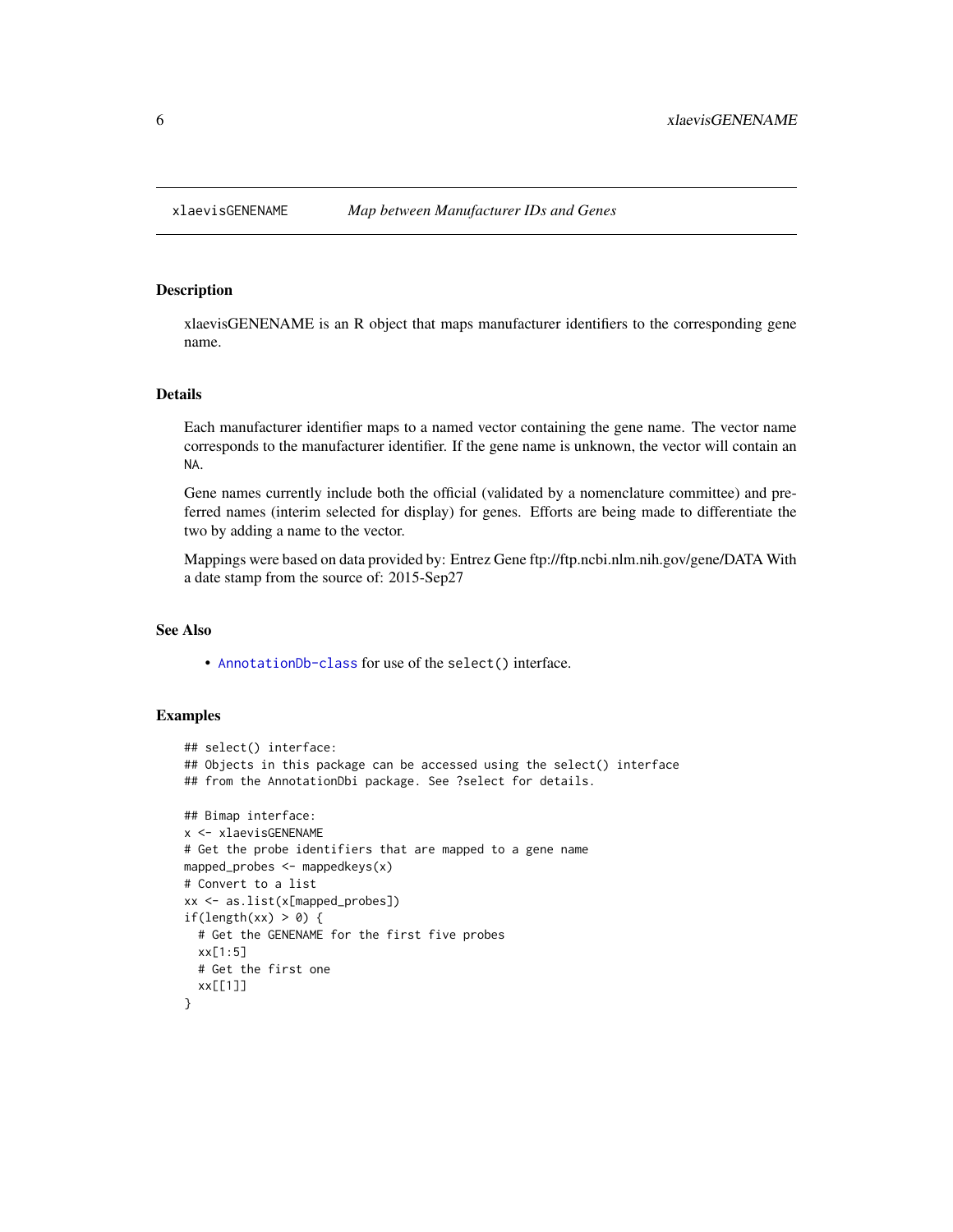<span id="page-5-0"></span>

# Description

xlaevisGENENAME is an R object that maps manufacturer identifiers to the corresponding gene name.

# Details

Each manufacturer identifier maps to a named vector containing the gene name. The vector name corresponds to the manufacturer identifier. If the gene name is unknown, the vector will contain an NA.

Gene names currently include both the official (validated by a nomenclature committee) and preferred names (interim selected for display) for genes. Efforts are being made to differentiate the two by adding a name to the vector.

Mappings were based on data provided by: Entrez Gene ftp://ftp.ncbi.nlm.nih.gov/gene/DATA With a date stamp from the source of: 2015-Sep27

# See Also

• [AnnotationDb-class](#page-0-0) for use of the select() interface.

```
## select() interface:
## Objects in this package can be accessed using the select() interface
## from the AnnotationDbi package. See ?select for details.
## Bimap interface:
x <- xlaevisGENENAME
# Get the probe identifiers that are mapped to a gene name
mapped_probes <- mappedkeys(x)
# Convert to a list
xx <- as.list(x[mapped_probes])
if(length(xx) > 0) {
  # Get the GENENAME for the first five probes
  xx[1:5]
  # Get the first one
  xx[[1]]
}
```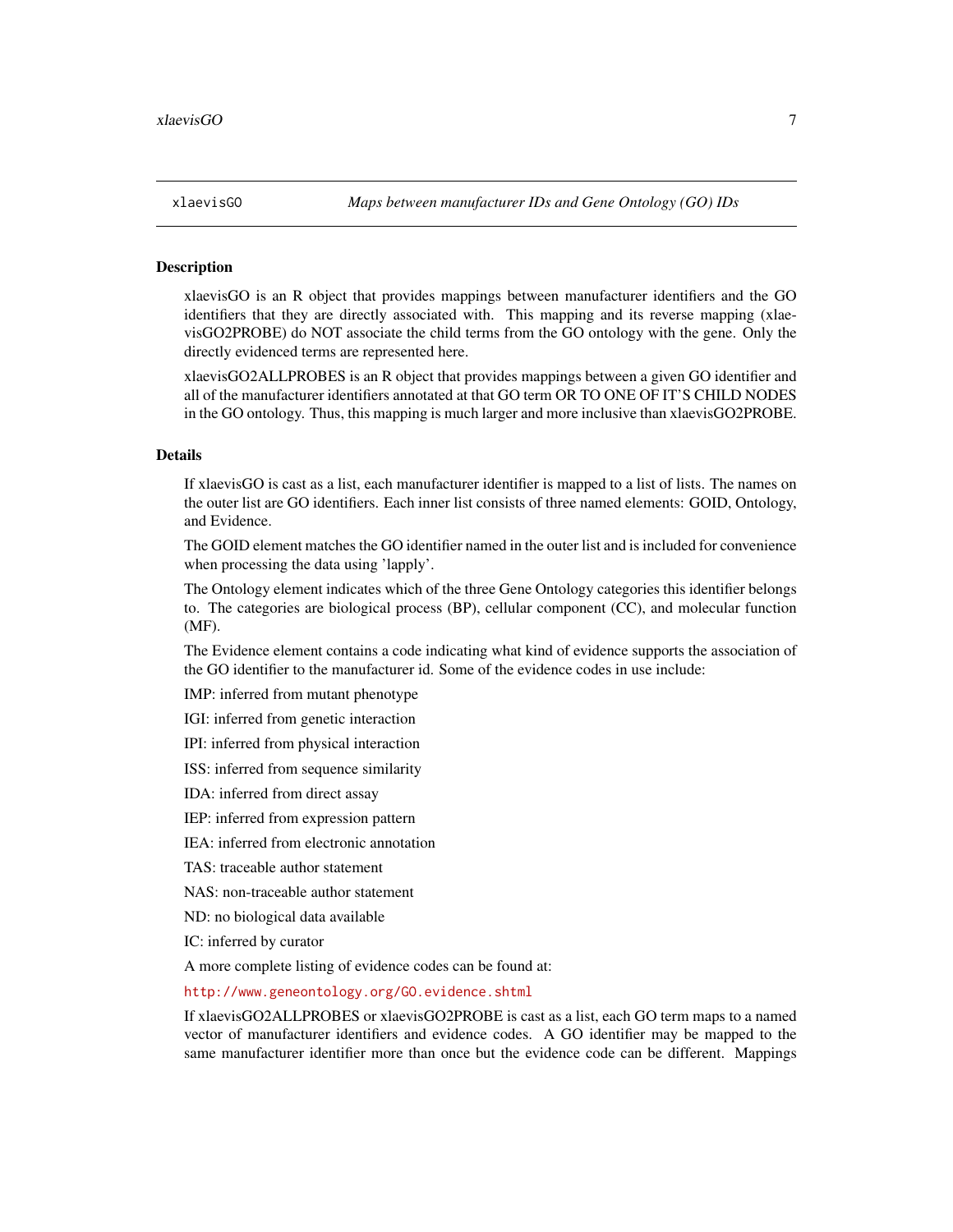<span id="page-6-1"></span>

#### <span id="page-6-0"></span>**Description**

xlaevisGO is an R object that provides mappings between manufacturer identifiers and the GO identifiers that they are directly associated with. This mapping and its reverse mapping (xlaevisGO2PROBE) do NOT associate the child terms from the GO ontology with the gene. Only the directly evidenced terms are represented here.

xlaevisGO2ALLPROBES is an R object that provides mappings between a given GO identifier and all of the manufacturer identifiers annotated at that GO term OR TO ONE OF IT'S CHILD NODES in the GO ontology. Thus, this mapping is much larger and more inclusive than xlaevisGO2PROBE.

#### Details

If xlaevisGO is cast as a list, each manufacturer identifier is mapped to a list of lists. The names on the outer list are GO identifiers. Each inner list consists of three named elements: GOID, Ontology, and Evidence.

The GOID element matches the GO identifier named in the outer list and is included for convenience when processing the data using 'lapply'.

The Ontology element indicates which of the three Gene Ontology categories this identifier belongs to. The categories are biological process (BP), cellular component (CC), and molecular function (MF).

The Evidence element contains a code indicating what kind of evidence supports the association of the GO identifier to the manufacturer id. Some of the evidence codes in use include:

IMP: inferred from mutant phenotype

IGI: inferred from genetic interaction

IPI: inferred from physical interaction

ISS: inferred from sequence similarity

IDA: inferred from direct assay

IEP: inferred from expression pattern

IEA: inferred from electronic annotation

TAS: traceable author statement

NAS: non-traceable author statement

ND: no biological data available

IC: inferred by curator

A more complete listing of evidence codes can be found at:

<http://www.geneontology.org/GO.evidence.shtml>

If xlaevisGO2ALLPROBES or xlaevisGO2PROBE is cast as a list, each GO term maps to a named vector of manufacturer identifiers and evidence codes. A GO identifier may be mapped to the same manufacturer identifier more than once but the evidence code can be different. Mappings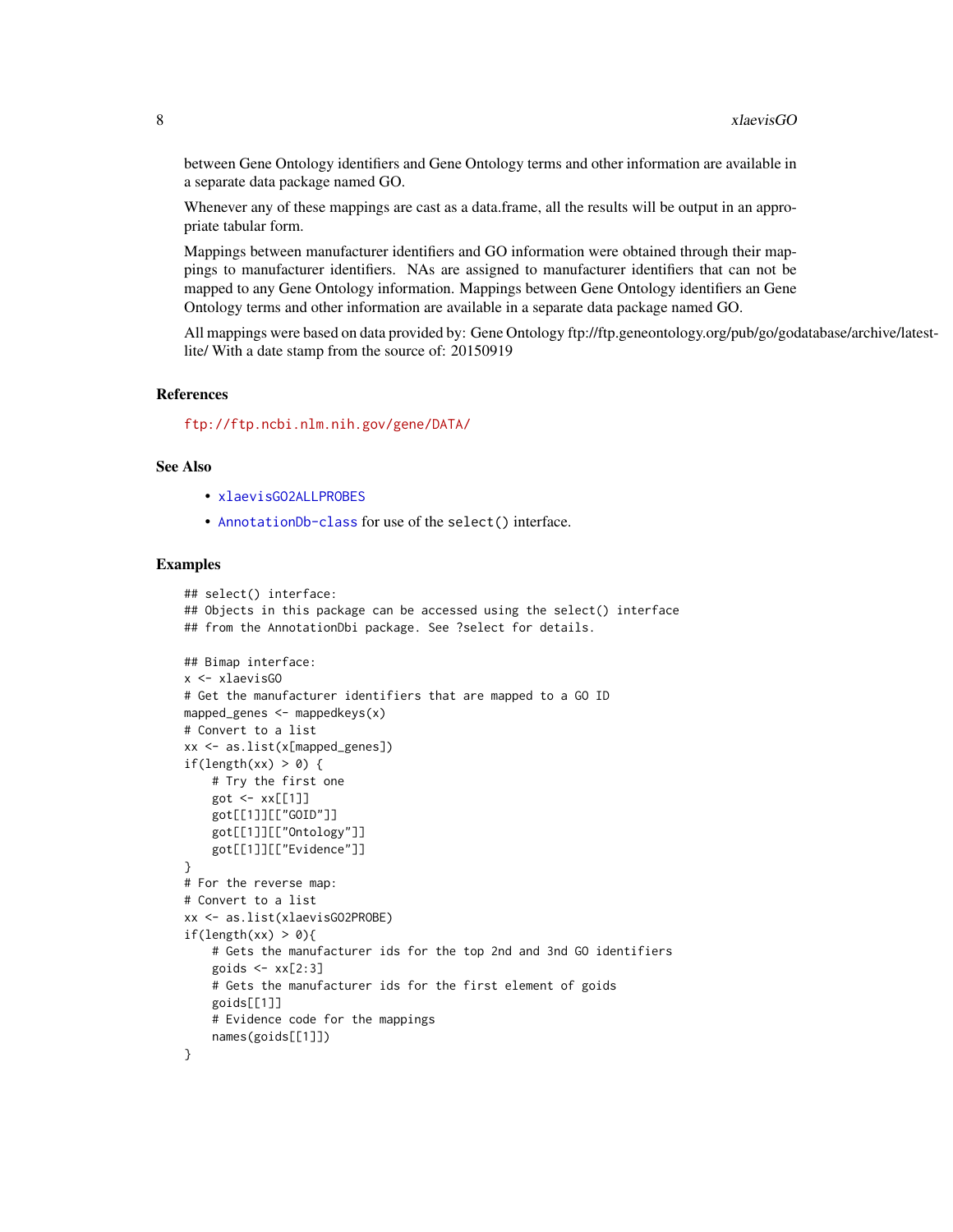between Gene Ontology identifiers and Gene Ontology terms and other information are available in a separate data package named GO.

Whenever any of these mappings are cast as a data.frame, all the results will be output in an appropriate tabular form.

Mappings between manufacturer identifiers and GO information were obtained through their mappings to manufacturer identifiers. NAs are assigned to manufacturer identifiers that can not be mapped to any Gene Ontology information. Mappings between Gene Ontology identifiers an Gene Ontology terms and other information are available in a separate data package named GO.

All mappings were based on data provided by: Gene Ontology ftp://ftp.geneontology.org/pub/go/godatabase/archive/latestlite/ With a date stamp from the source of: 20150919

#### References

<ftp://ftp.ncbi.nlm.nih.gov/gene/DATA/>

#### See Also

- [xlaevisGO2ALLPROBES](#page-6-0)
- [AnnotationDb-class](#page-0-0) for use of the select() interface.

```
## select() interface:
## Objects in this package can be accessed using the select() interface
## from the AnnotationDbi package. See ?select for details.
## Bimap interface:
x <- xlaevisGO
# Get the manufacturer identifiers that are mapped to a GO ID
mapped_genes \leq mappedkeys(x)
# Convert to a list
xx <- as.list(x[mapped_genes])
if(length(xx) > 0) {
    # Try the first one
   got \leq -xx[[1]]got[[1]][["GOID"]]
    got[[1]][["Ontology"]]
    got[[1]][["Evidence"]]
}
# For the reverse map:
# Convert to a list
xx <- as.list(xlaevisGO2PROBE)
if(length(xx) > 0){
    # Gets the manufacturer ids for the top 2nd and 3nd GO identifiers
    goids \leftarrow xx[2:3]# Gets the manufacturer ids for the first element of goids
    goids[[1]]
    # Evidence code for the mappings
   names(goids[[1]])
}
```
<span id="page-7-0"></span>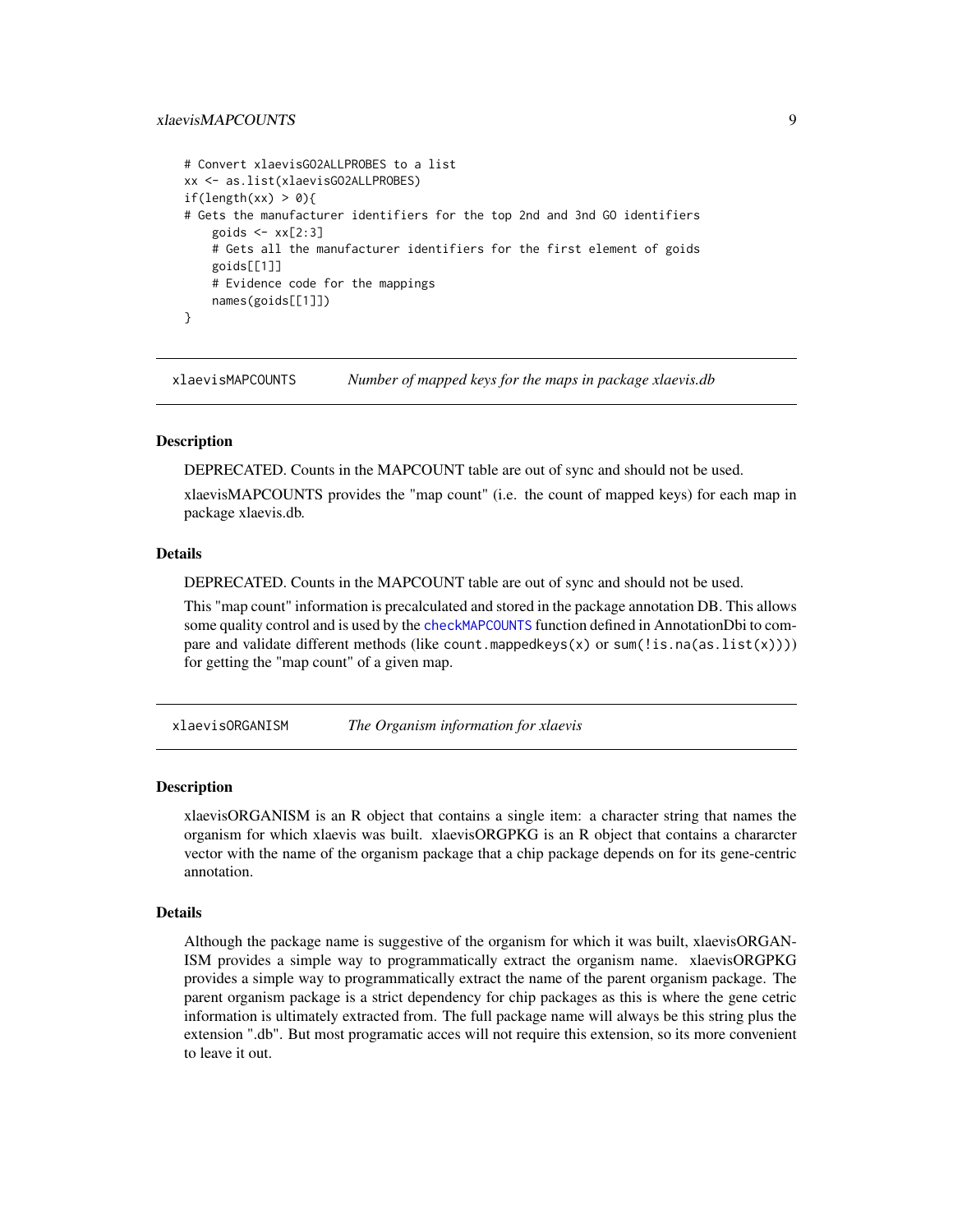# <span id="page-8-0"></span>xlaevisMAPCOUNTS 9

```
# Convert xlaevisGO2ALLPROBES to a list
xx <- as.list(xlaevisGO2ALLPROBES)
if(length(xx) > 0){
# Gets the manufacturer identifiers for the top 2nd and 3nd GO identifiers
    goids \leq -x \times [2:3]# Gets all the manufacturer identifiers for the first element of goids
    goids[[1]]
    # Evidence code for the mappings
    names(goids[[1]])
}
```
xlaevisMAPCOUNTS *Number of mapped keys for the maps in package xlaevis.db*

#### **Description**

DEPRECATED. Counts in the MAPCOUNT table are out of sync and should not be used. xlaevisMAPCOUNTS provides the "map count" (i.e. the count of mapped keys) for each map in package xlaevis.db.

#### Details

DEPRECATED. Counts in the MAPCOUNT table are out of sync and should not be used.

This "map count" information is precalculated and stored in the package annotation DB. This allows some quality control and is used by the [checkMAPCOUNTS](#page-0-0) function defined in AnnotationDbi to compare and validate different methods (like count.mappedkeys(x) or sum(!is.na(as.list(x)))) for getting the "map count" of a given map.

xlaevisORGANISM *The Organism information for xlaevis*

#### Description

xlaevisORGANISM is an R object that contains a single item: a character string that names the organism for which xlaevis was built. xlaevisORGPKG is an R object that contains a chararcter vector with the name of the organism package that a chip package depends on for its gene-centric annotation.

#### Details

Although the package name is suggestive of the organism for which it was built, xlaevisORGAN-ISM provides a simple way to programmatically extract the organism name. xlaevisORGPKG provides a simple way to programmatically extract the name of the parent organism package. The parent organism package is a strict dependency for chip packages as this is where the gene cetric information is ultimately extracted from. The full package name will always be this string plus the extension ".db". But most programatic acces will not require this extension, so its more convenient to leave it out.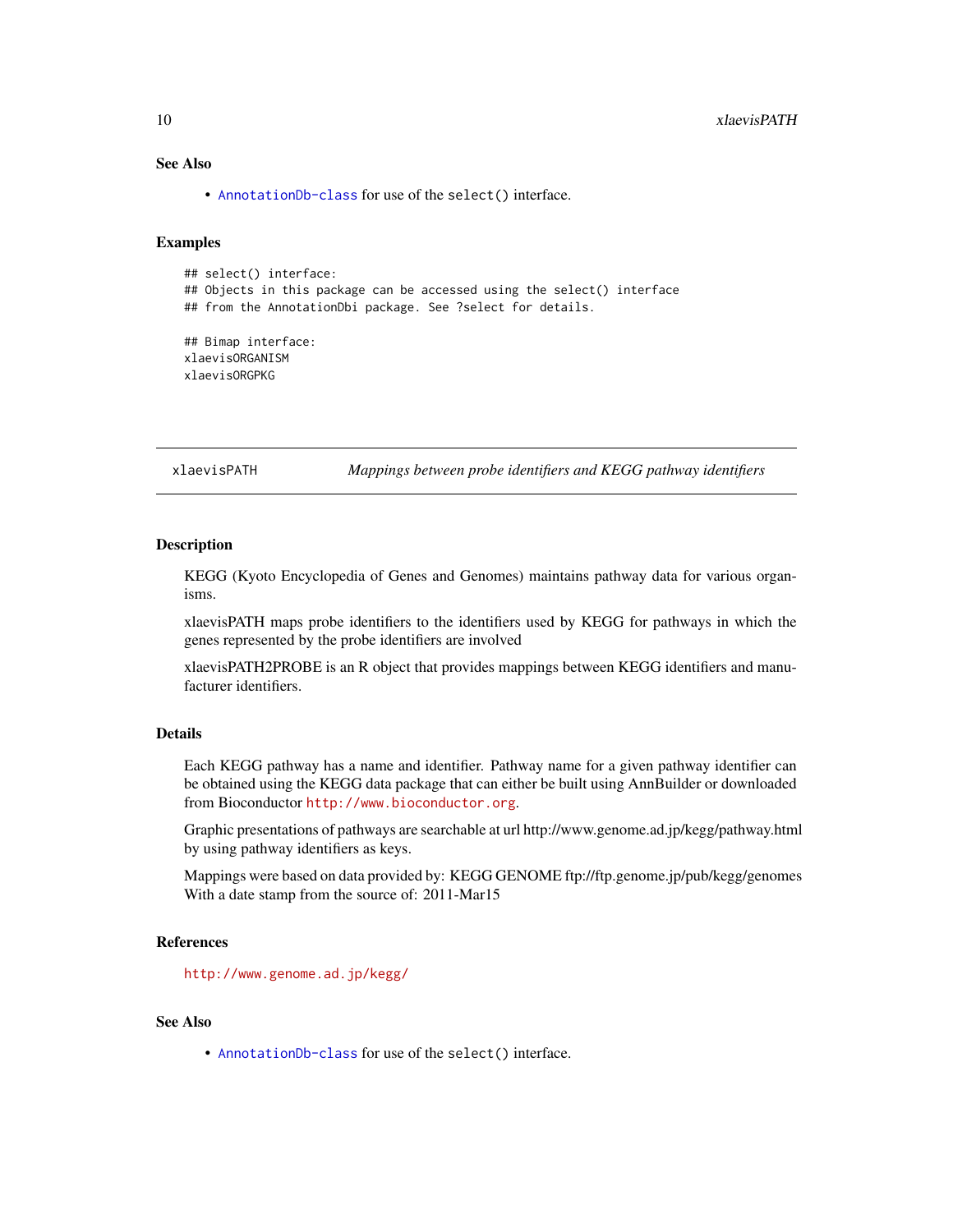# See Also

• [AnnotationDb-class](#page-0-0) for use of the select() interface.

#### Examples

## select() interface: ## Objects in this package can be accessed using the select() interface ## from the AnnotationDbi package. See ?select for details. ## Bimap interface:

xlaevisORGANISM xlaevisORGPKG

xlaevisPATH *Mappings between probe identifiers and KEGG pathway identifiers*

#### Description

KEGG (Kyoto Encyclopedia of Genes and Genomes) maintains pathway data for various organisms.

xlaevisPATH maps probe identifiers to the identifiers used by KEGG for pathways in which the genes represented by the probe identifiers are involved

xlaevisPATH2PROBE is an R object that provides mappings between KEGG identifiers and manufacturer identifiers.

#### Details

Each KEGG pathway has a name and identifier. Pathway name for a given pathway identifier can be obtained using the KEGG data package that can either be built using AnnBuilder or downloaded from Bioconductor <http://www.bioconductor.org>.

Graphic presentations of pathways are searchable at url http://www.genome.ad.jp/kegg/pathway.html by using pathway identifiers as keys.

Mappings were based on data provided by: KEGG GENOME ftp://ftp.genome.jp/pub/kegg/genomes With a date stamp from the source of: 2011-Mar15

# References

<http://www.genome.ad.jp/kegg/>

#### See Also

<span id="page-9-0"></span>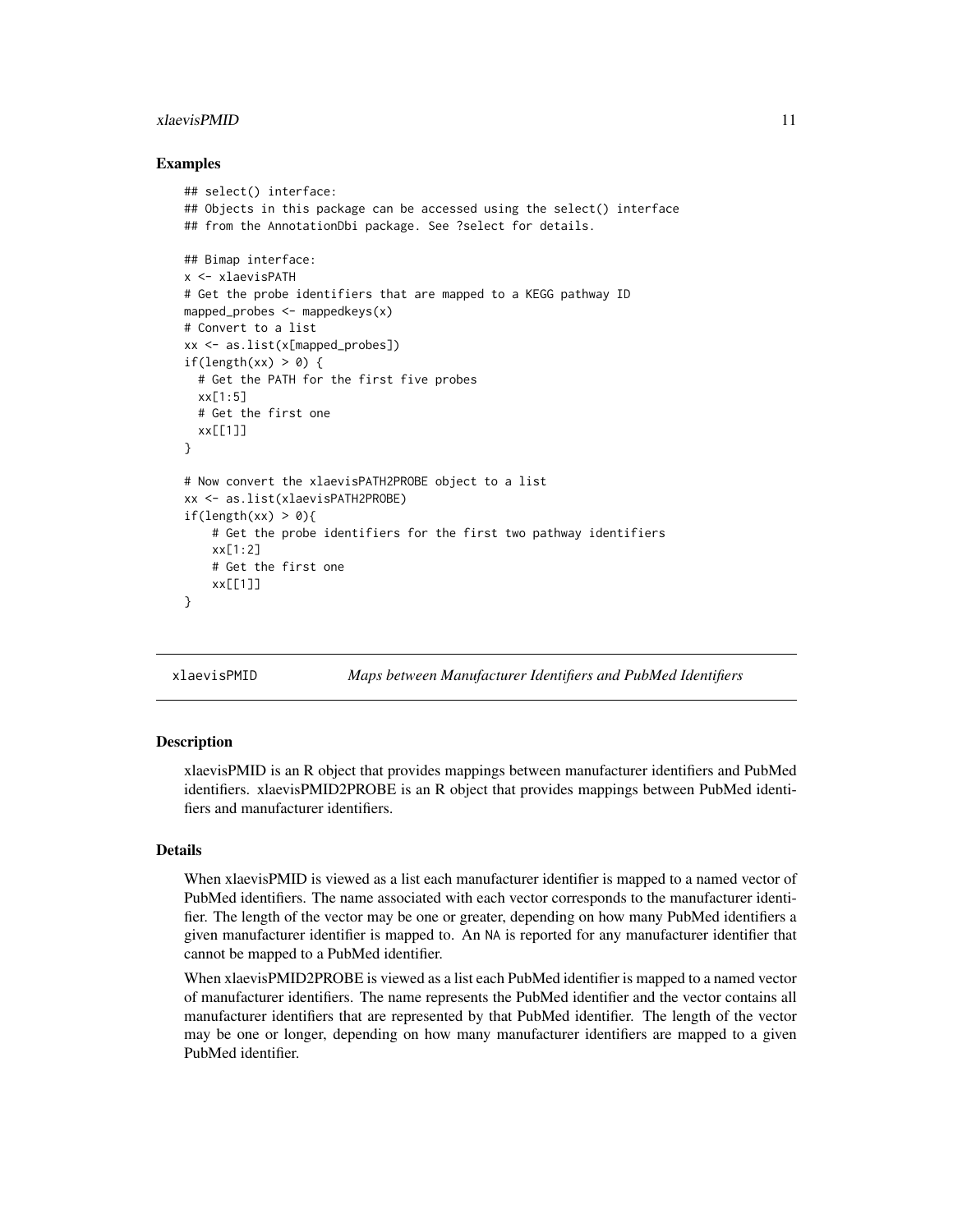#### <span id="page-10-0"></span>xlaevisPMID 11

#### Examples

```
## select() interface:
## Objects in this package can be accessed using the select() interface
## from the AnnotationDbi package. See ?select for details.
## Bimap interface:
x <- xlaevisPATH
# Get the probe identifiers that are mapped to a KEGG pathway ID
mapped_probes <- mappedkeys(x)
# Convert to a list
xx <- as.list(x[mapped_probes])
if(length(xx) > 0) {
 # Get the PATH for the first five probes
 xx[1:5]
 # Get the first one
 xx[[1]]
}
# Now convert the xlaevisPATH2PROBE object to a list
xx <- as.list(xlaevisPATH2PROBE)
if(length(xx) > 0)# Get the probe identifiers for the first two pathway identifiers
    xx[1:2]
    # Get the first one
    xx[[1]]
}
```
xlaevisPMID *Maps between Manufacturer Identifiers and PubMed Identifiers*

#### Description

xlaevisPMID is an R object that provides mappings between manufacturer identifiers and PubMed identifiers. xlaevisPMID2PROBE is an R object that provides mappings between PubMed identifiers and manufacturer identifiers.

#### Details

When xlaevisPMID is viewed as a list each manufacturer identifier is mapped to a named vector of PubMed identifiers. The name associated with each vector corresponds to the manufacturer identifier. The length of the vector may be one or greater, depending on how many PubMed identifiers a given manufacturer identifier is mapped to. An NA is reported for any manufacturer identifier that cannot be mapped to a PubMed identifier.

When xlaevisPMID2PROBE is viewed as a list each PubMed identifier is mapped to a named vector of manufacturer identifiers. The name represents the PubMed identifier and the vector contains all manufacturer identifiers that are represented by that PubMed identifier. The length of the vector may be one or longer, depending on how many manufacturer identifiers are mapped to a given PubMed identifier.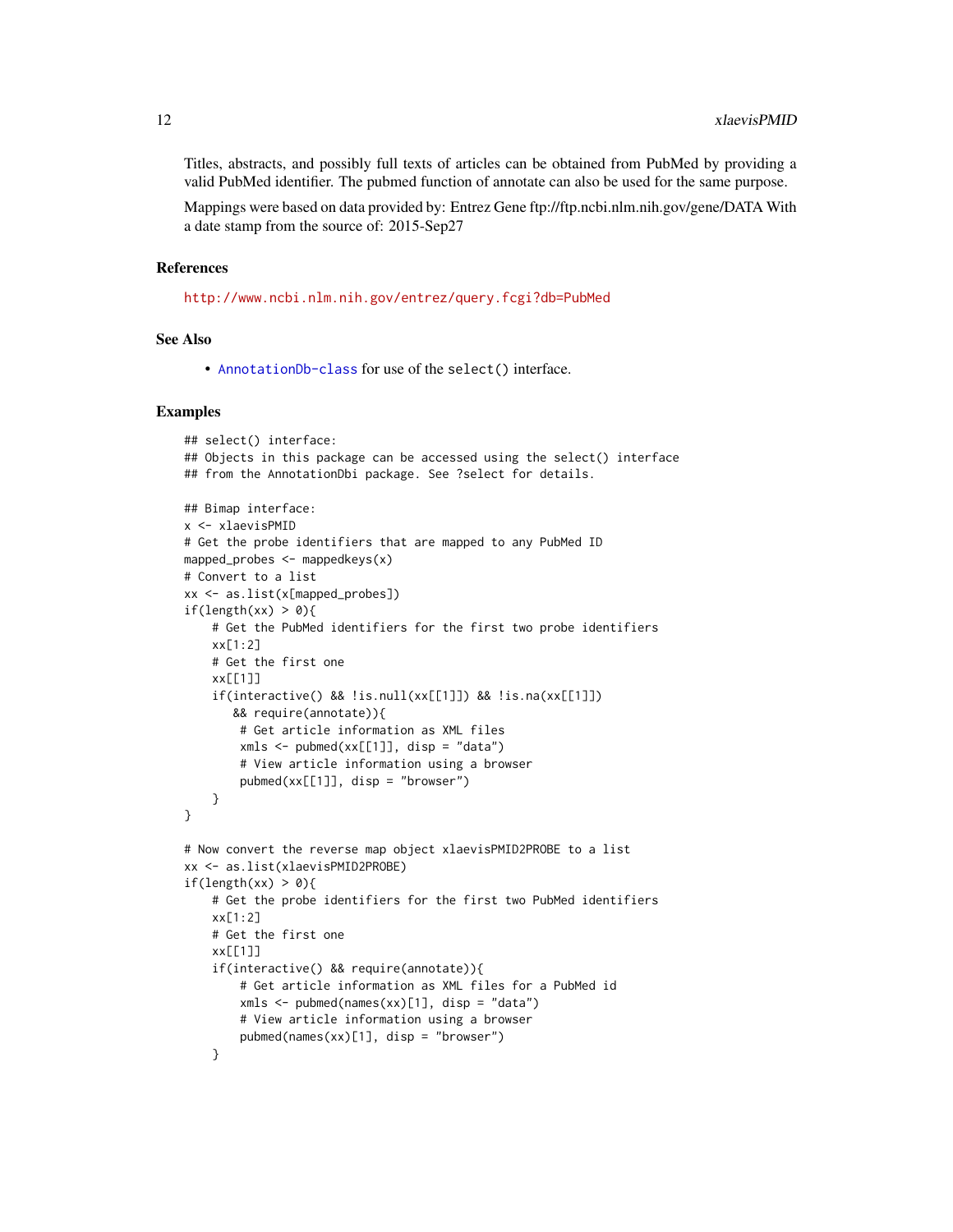Titles, abstracts, and possibly full texts of articles can be obtained from PubMed by providing a valid PubMed identifier. The pubmed function of annotate can also be used for the same purpose.

Mappings were based on data provided by: Entrez Gene ftp://ftp.ncbi.nlm.nih.gov/gene/DATA With a date stamp from the source of: 2015-Sep27

#### References

<http://www.ncbi.nlm.nih.gov/entrez/query.fcgi?db=PubMed>

#### See Also

• [AnnotationDb-class](#page-0-0) for use of the select() interface.

```
## select() interface:
## Objects in this package can be accessed using the select() interface
## from the AnnotationDbi package. See ?select for details.
## Bimap interface:
x <- xlaevisPMID
# Get the probe identifiers that are mapped to any PubMed ID
mapped_probes \leq mappedkeys(x)
# Convert to a list
xx <- as.list(x[mapped_probes])
if(length(xx) > 0){
    # Get the PubMed identifiers for the first two probe identifiers
    xx[1:2]
    # Get the first one
    xx[[1]]
    if(interactive() && !is.null(xx[[1]]) && !is.na(xx[[1]])
       && require(annotate)){
        # Get article information as XML files
        xmls < -pubmed(xx[[1]], disp = "data")# View article information using a browser
        public(xx[[1]], disp = "browser")}
}
# Now convert the reverse map object xlaevisPMID2PROBE to a list
xx <- as.list(xlaevisPMID2PROBE)
if(length(xx) > 0)# Get the probe identifiers for the first two PubMed identifiers
    xx[1:2]# Get the first one
    xx[[1]]
    if(interactive() && require(annotate)){
        # Get article information as XML files for a PubMed id
        xmls < -pubmed(names(xx)[1], disp = "data")# View article information using a browser
        pubmed(names(xx)[1], disp = "browser")
    }
```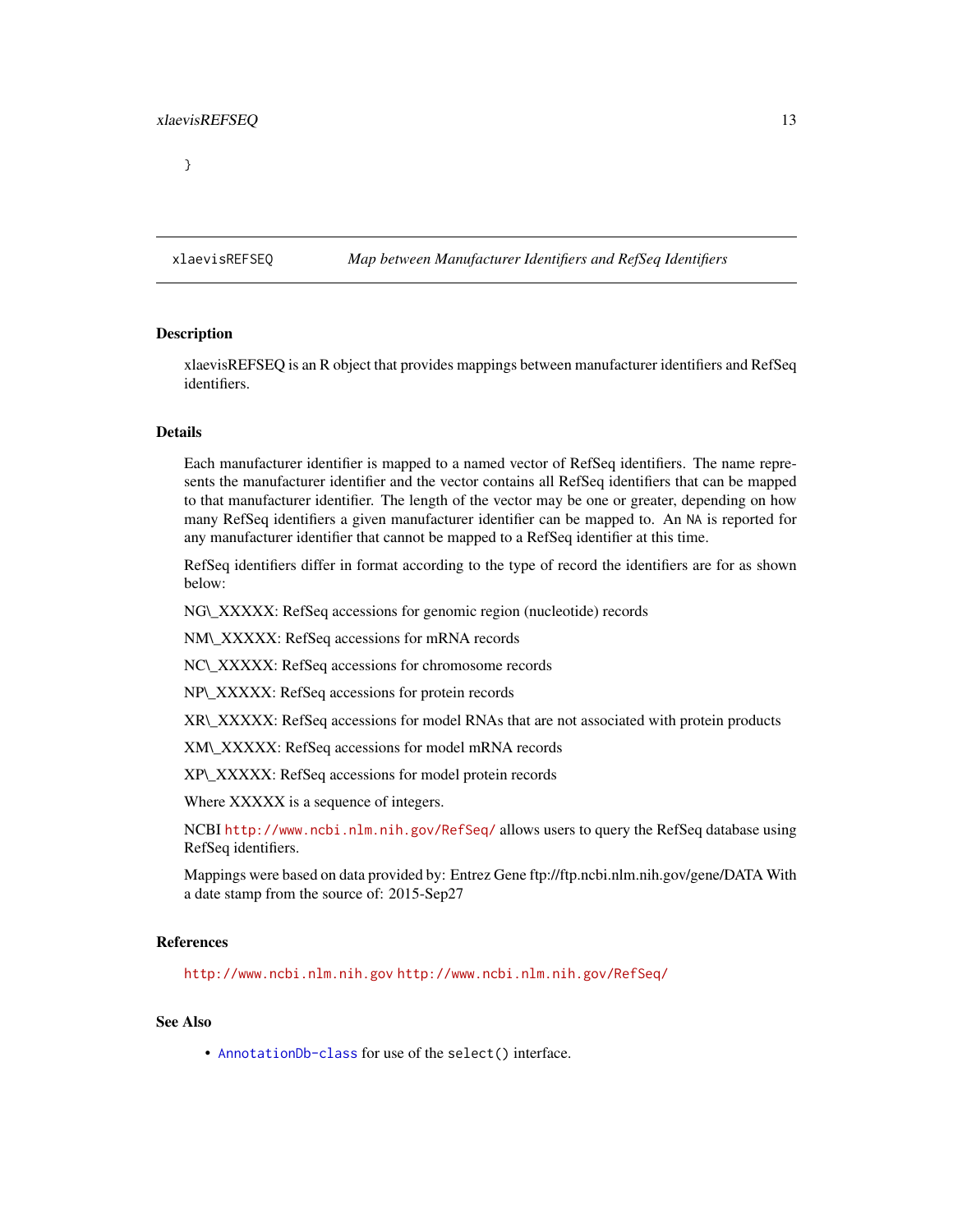<span id="page-12-0"></span>

# Description

xlaevisREFSEQ is an R object that provides mappings between manufacturer identifiers and RefSeq identifiers.

# Details

Each manufacturer identifier is mapped to a named vector of RefSeq identifiers. The name represents the manufacturer identifier and the vector contains all RefSeq identifiers that can be mapped to that manufacturer identifier. The length of the vector may be one or greater, depending on how many RefSeq identifiers a given manufacturer identifier can be mapped to. An NA is reported for any manufacturer identifier that cannot be mapped to a RefSeq identifier at this time.

RefSeq identifiers differ in format according to the type of record the identifiers are for as shown below:

NG\\_XXXXX: RefSeq accessions for genomic region (nucleotide) records

NM\\_XXXXX: RefSeq accessions for mRNA records

NC\\_XXXXX: RefSeq accessions for chromosome records

NP\\_XXXXX: RefSeq accessions for protein records

XR\\_XXXXX: RefSeq accessions for model RNAs that are not associated with protein products

XM\\_XXXXX: RefSeq accessions for model mRNA records

XP\\_XXXXX: RefSeq accessions for model protein records

Where XXXXX is a sequence of integers.

NCBI <http://www.ncbi.nlm.nih.gov/RefSeq/> allows users to query the RefSeq database using RefSeq identifiers.

Mappings were based on data provided by: Entrez Gene ftp://ftp.ncbi.nlm.nih.gov/gene/DATA With a date stamp from the source of: 2015-Sep27

# References

<http://www.ncbi.nlm.nih.gov> <http://www.ncbi.nlm.nih.gov/RefSeq/>

#### See Also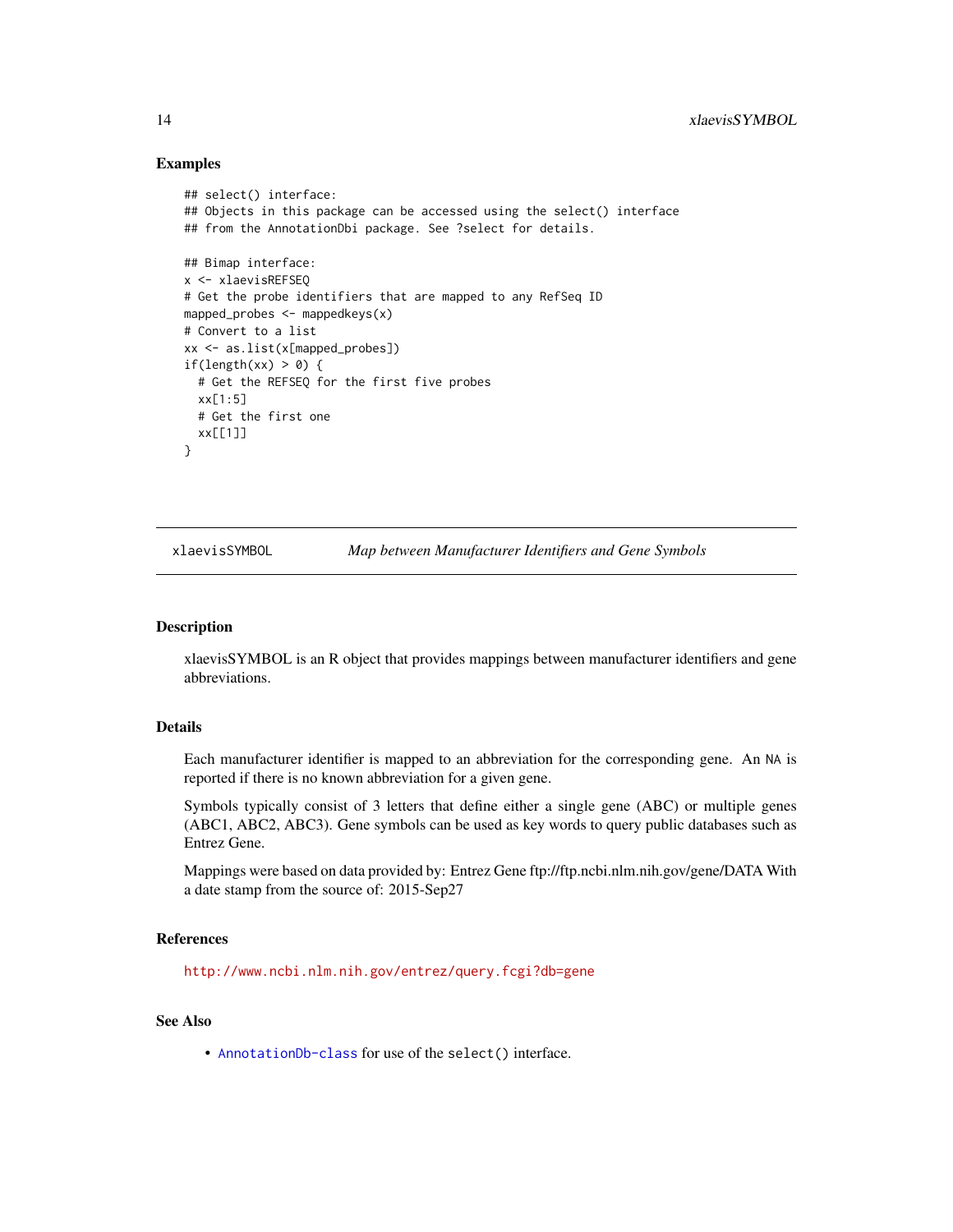#### Examples

```
## select() interface:
## Objects in this package can be accessed using the select() interface
## from the AnnotationDbi package. See ?select for details.
## Bimap interface:
x <- xlaevisREFSEQ
# Get the probe identifiers that are mapped to any RefSeq ID
mapped_probes <- mappedkeys(x)
# Convert to a list
xx <- as.list(x[mapped_probes])
if(length(xx) > 0) {
  # Get the REFSEQ for the first five probes
  xx[1:5]
  # Get the first one
  xx[[1]]
}
```
xlaevisSYMBOL *Map between Manufacturer Identifiers and Gene Symbols*

#### Description

xlaevisSYMBOL is an R object that provides mappings between manufacturer identifiers and gene abbreviations.

# Details

Each manufacturer identifier is mapped to an abbreviation for the corresponding gene. An NA is reported if there is no known abbreviation for a given gene.

Symbols typically consist of 3 letters that define either a single gene (ABC) or multiple genes (ABC1, ABC2, ABC3). Gene symbols can be used as key words to query public databases such as Entrez Gene.

Mappings were based on data provided by: Entrez Gene ftp://ftp.ncbi.nlm.nih.gov/gene/DATA With a date stamp from the source of: 2015-Sep27

#### References

<http://www.ncbi.nlm.nih.gov/entrez/query.fcgi?db=gene>

#### See Also

<span id="page-13-0"></span>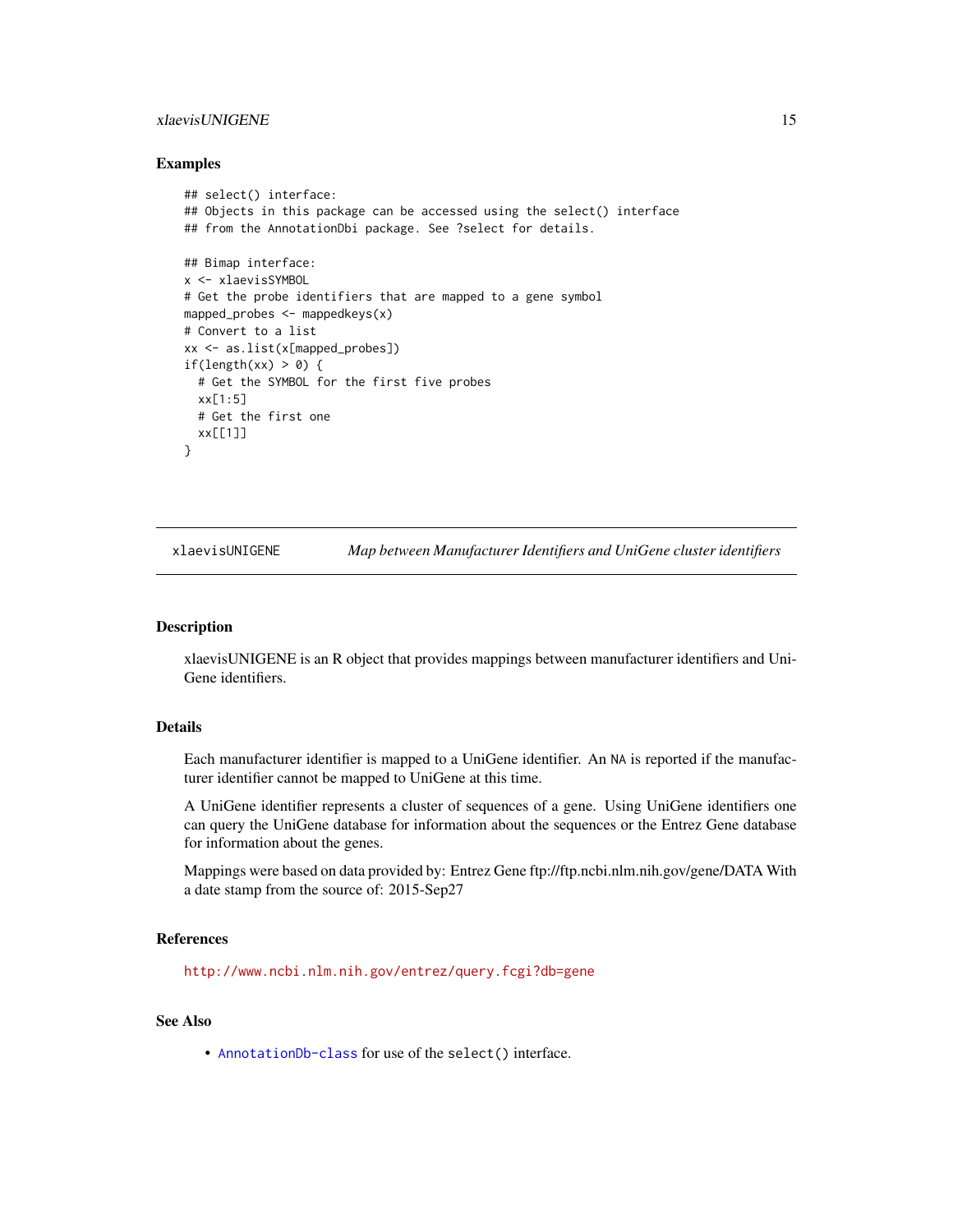# <span id="page-14-0"></span>xlaevisUNIGENE 15

#### Examples

```
## select() interface:
## Objects in this package can be accessed using the select() interface
## from the AnnotationDbi package. See ?select for details.
## Bimap interface:
x <- xlaevisSYMBOL
# Get the probe identifiers that are mapped to a gene symbol
mapped_probes <- mappedkeys(x)
# Convert to a list
xx <- as.list(x[mapped_probes])
if(length(xx) > 0) {
  # Get the SYMBOL for the first five probes
  xx[1:5]
  # Get the first one
  xx[[1]]
}
```
xlaevisUNIGENE *Map between Manufacturer Identifiers and UniGene cluster identifiers*

#### Description

xlaevisUNIGENE is an R object that provides mappings between manufacturer identifiers and Uni-Gene identifiers.

# Details

Each manufacturer identifier is mapped to a UniGene identifier. An NA is reported if the manufacturer identifier cannot be mapped to UniGene at this time.

A UniGene identifier represents a cluster of sequences of a gene. Using UniGene identifiers one can query the UniGene database for information about the sequences or the Entrez Gene database for information about the genes.

Mappings were based on data provided by: Entrez Gene ftp://ftp.ncbi.nlm.nih.gov/gene/DATA With a date stamp from the source of: 2015-Sep27

#### References

<http://www.ncbi.nlm.nih.gov/entrez/query.fcgi?db=gene>

#### See Also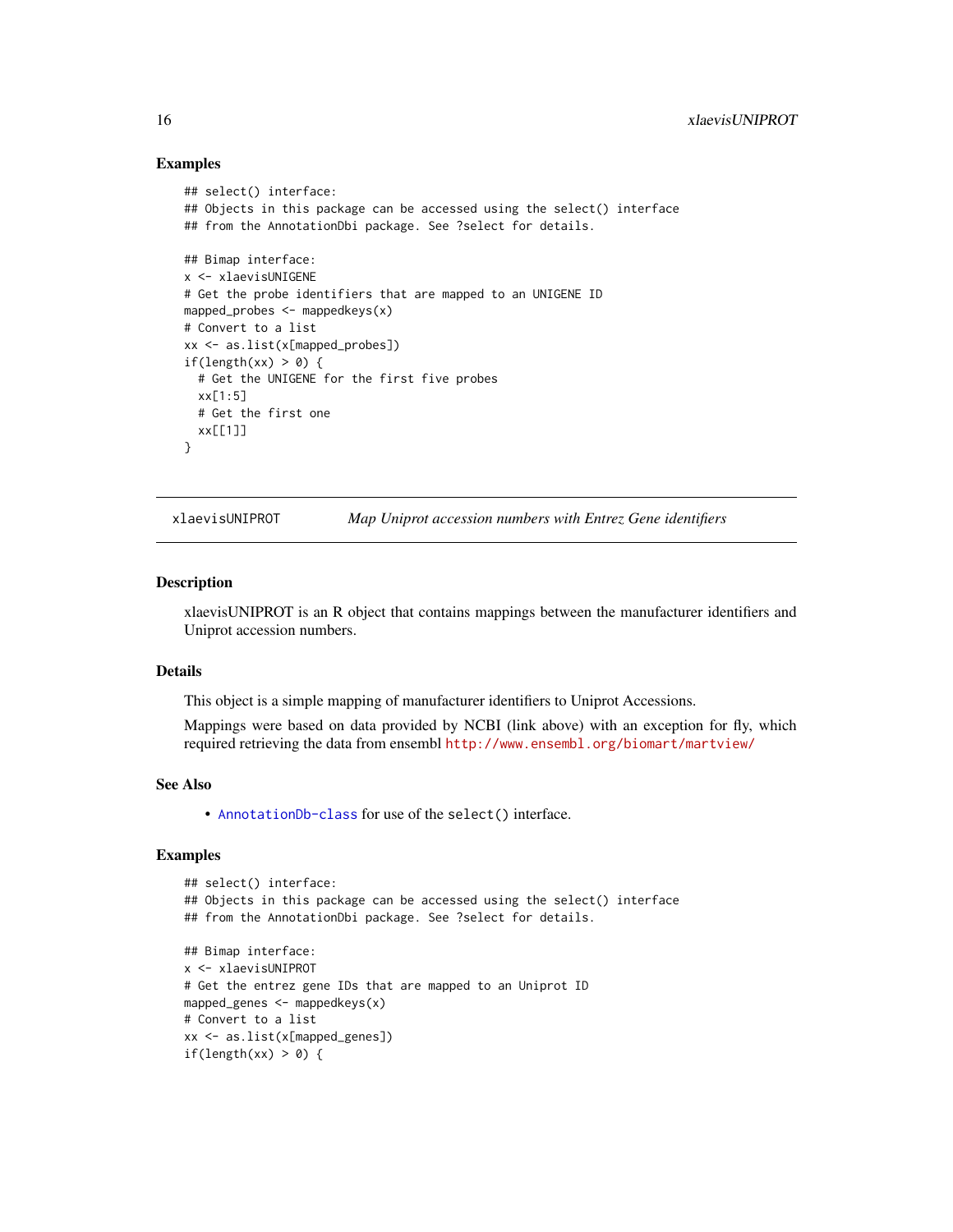#### Examples

```
## select() interface:
## Objects in this package can be accessed using the select() interface
## from the AnnotationDbi package. See ?select for details.
## Bimap interface:
x <- xlaevisUNIGENE
# Get the probe identifiers that are mapped to an UNIGENE ID
mapped_probes <- mappedkeys(x)
# Convert to a list
xx <- as.list(x[mapped_probes])
if(length(xx) > 0) {
  # Get the UNIGENE for the first five probes
  xx[1:5]
  # Get the first one
  xx[[1]]
}
```
xlaevisUNIPROT *Map Uniprot accession numbers with Entrez Gene identifiers*

#### Description

xlaevisUNIPROT is an R object that contains mappings between the manufacturer identifiers and Uniprot accession numbers.

# Details

This object is a simple mapping of manufacturer identifiers to Uniprot Accessions.

Mappings were based on data provided by NCBI (link above) with an exception for fly, which required retrieving the data from ensembl <http://www.ensembl.org/biomart/martview/>

#### See Also

• [AnnotationDb-class](#page-0-0) for use of the select() interface.

```
## select() interface:
## Objects in this package can be accessed using the select() interface
## from the AnnotationDbi package. See ?select for details.
## Bimap interface:
x <- xlaevisUNIPROT
# Get the entrez gene IDs that are mapped to an Uniprot ID
mapped_genes <- mappedkeys(x)
# Convert to a list
xx <- as.list(x[mapped_genes])
if(length(xx) > 0) {
```
<span id="page-15-0"></span>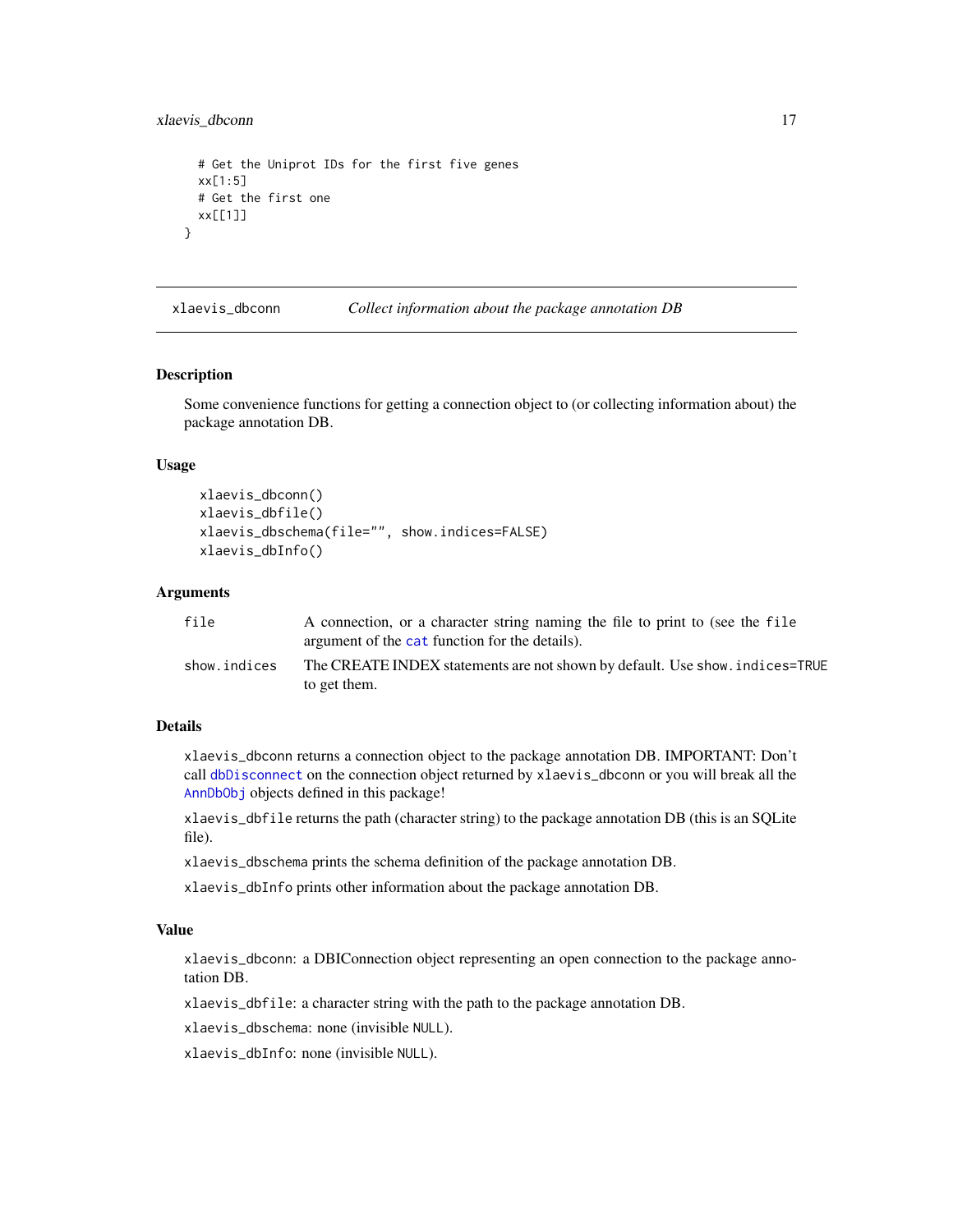<span id="page-16-0"></span>xlaevis\_dbconn 17

```
# Get the Uniprot IDs for the first five genes
 xx[1:5]
 # Get the first one
 xx[[1]]
}
```
xlaevis\_dbconn *Collect information about the package annotation DB*

#### Description

Some convenience functions for getting a connection object to (or collecting information about) the package annotation DB.

#### Usage

```
xlaevis_dbconn()
xlaevis_dbfile()
xlaevis_dbschema(file="", show.indices=FALSE)
xlaevis_dbInfo()
```
# Arguments

| file         | A connection, or a character string naming the file to print to (see the file<br>argument of the cat function for the details). |
|--------------|---------------------------------------------------------------------------------------------------------------------------------|
| show.indices | The CREATE INDEX statements are not shown by default. Use show, indices=TRUE<br>to get them.                                    |

# Details

xlaevis\_dbconn returns a connection object to the package annotation DB. IMPORTANT: Don't call [dbDisconnect](#page-0-0) on the connection object returned by xlaevis\_dbconn or you will break all the [AnnDbObj](#page-0-0) objects defined in this package!

xlaevis\_dbfile returns the path (character string) to the package annotation DB (this is an SQLite file).

xlaevis\_dbschema prints the schema definition of the package annotation DB.

xlaevis\_dbInfo prints other information about the package annotation DB.

# Value

xlaevis\_dbconn: a DBIConnection object representing an open connection to the package annotation DB.

xlaevis\_dbfile: a character string with the path to the package annotation DB.

xlaevis\_dbschema: none (invisible NULL).

xlaevis\_dbInfo: none (invisible NULL).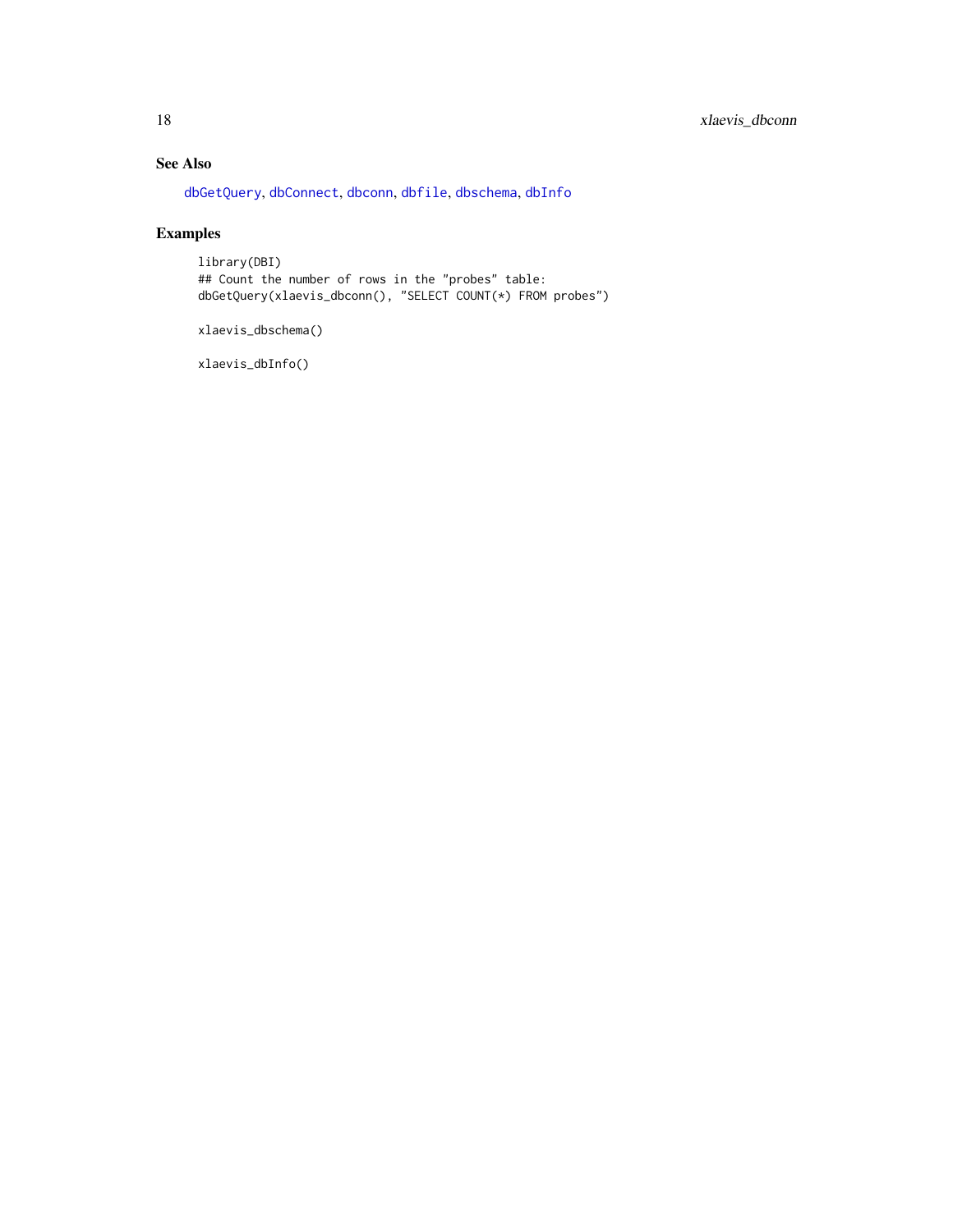# <span id="page-17-0"></span>See Also

[dbGetQuery](#page-0-0), [dbConnect](#page-0-0), [dbconn](#page-0-0), [dbfile](#page-0-0), [dbschema](#page-0-0), [dbInfo](#page-0-0)

# Examples

library(DBI) ## Count the number of rows in the "probes" table: dbGetQuery(xlaevis\_dbconn(), "SELECT COUNT(\*) FROM probes")

xlaevis\_dbschema()

xlaevis\_dbInfo()